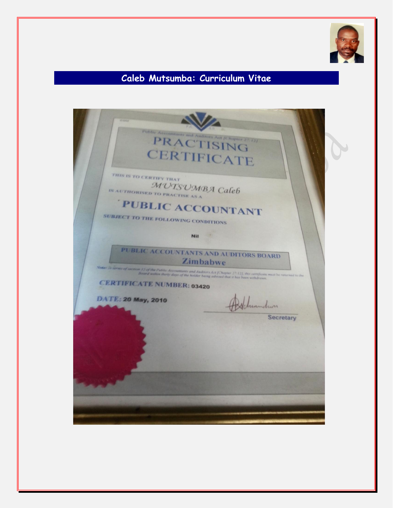

# **Caleb Mutsumba: Curriculum Vitae**

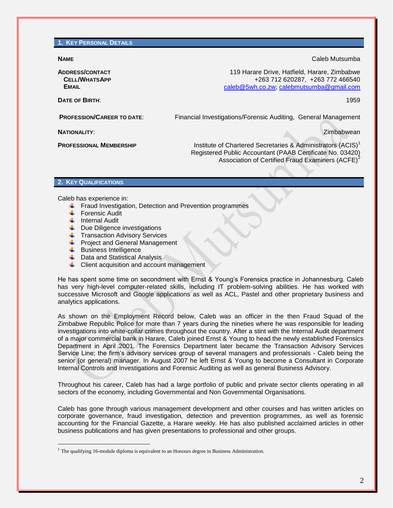**1. KEY PERSONAL DETAILS**

**ADDRESS/CONTACT CELL/WHATSAPP EMAIL**

**NAME** Caleb Mutsumba

119 Harare Drive, Hatfield, Harare, Zimbabwe +263 712 620287, +263 772 466540 [caleb@5wh.co.zw;](mailto:caleb@5wh.co.zw) [calebmutsumba@gmail.com](mailto:calebmutsumba@gmail.com)

**DATE OF BIRTH**: 1959

**PROFESSION/CAREER TO DATE:** Financial Investigations/Forensic Auditing, General Management

**NATIONALITY**: Zimbabwean

**PROFESSIONAL MEMBERSHIP** Institute of Chartered Secretaries & Administrators (ACIS)<sup>1</sup>

Registered Public Accountant (PAAB Certificate No. 03420) Association of Certified Fraud Examiners  $(ACFE)^2$ 

## **2. KEY QUALIFICATIONS**

Caleb has experience in:

- $\ddot$  Fraud Investigation, Detection and Prevention programmes
- Forensic Audit
- $\downarrow$  Internal Audit

 $\overline{a}$ 

- $\downarrow$  Due Diligence investigations
- **Transaction Advisory Services**
- **↓** Project and General Management
- $\leftarrow$  Business Intelligence
- $\downarrow$  Data and Statistical Analysis
- **↓** Client acquisition and account management

He has spent some time on secondment with Ernst & Young's Forensics practice in Johannesburg. Caleb has very high-level computer-related skills, including IT problem-solving abilities. He has worked with successive Microsoft and Google applications as well as ACL, Pastel and other proprietary business and analytics applications.

As shown on the Employment Record below, Caleb was an officer in the then Fraud Squad of the Zimbabwe Republic Police for more than 7 years during the nineties where he was responsible for leading investigations into white-collar crimes throughout the country. After a stint with the Internal Audit department of a major commercial bank in Harare, Caleb joined Ernst & Young to head the newly established Forensics Department in April 2001. The Forensics Department later became the Transaction Advisory Services Service Line; the firm's advisory services group of several managers and professionals - Caleb being the senior (or general) manager. In August 2007 he left Ernst & Young to become a Consultant in Corporate Internal Controls and Investigations and Forensic Auditing as well as general Business Advisory.

Throughout his career, Caleb has had a large portfolio of public and private sector clients operating in all sectors of the economy, including Governmental and Non Governmental Organisations.

Caleb has gone through various management development and other courses and has written articles on corporate governance, fraud investigation, detection and prevention programmes, as well as forensic accounting for the Financial Gazette, a Harare weekly. He has also published acclaimed articles in other business publications and has given presentations to professional and other groups.

 $<sup>1</sup>$  The qualifying 16-module diploma is equivalent to an Honours degree in Business Administration.</sup>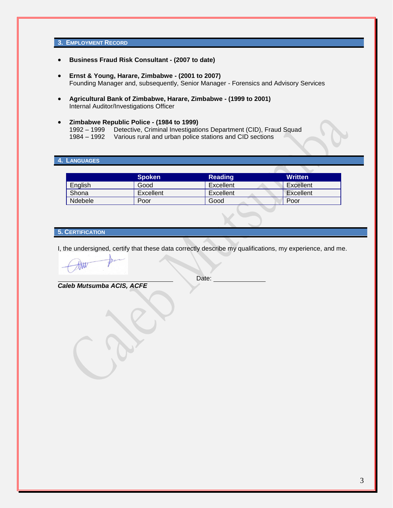## **3. EMPLOYMENT RECORD**

- **Business Fraud Risk Consultant - (2007 to date)**
- **Ernst & Young, Harare, Zimbabwe - (2001 to 2007)** Founding Manager and, subsequently, Senior Manager - Forensics and Advisory Services
- **Agricultural Bank of Zimbabwe, Harare, Zimbabwe - (1999 to 2001)**  Internal Auditor/Investigations Officer
- **Zimbabwe Republic Police - (1984 to 1999)** 1992 – 1999 Detective, Criminal Investigations Department (CID), Fraud Squad 1984 – 1992 Various rural and urban police stations and CID sections

## **4. LANGUAGES**

|         | <b>Spoken</b> | <b>Reading</b> | <b>Written</b> |
|---------|---------------|----------------|----------------|
| English | Good          | Excellent      | Excellent      |
| Shona   | Excellent     | Excellent      | Excellent      |
| Ndebele | Poor          | Good           | Poor           |

## **5. CERTIFICATION**

I, the undersigned, certify that these data correctly describe my qualifications, my experience, and me.

*Caleb Mutsumba ACIS, ACFE*

Date: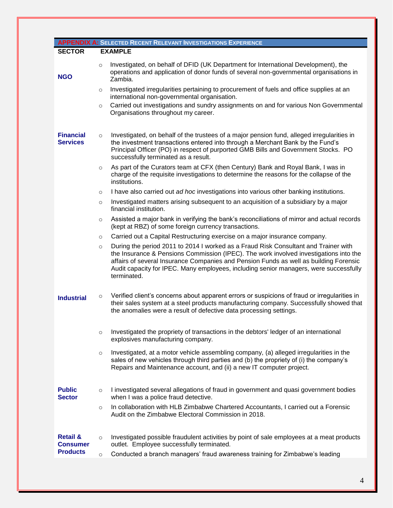|                                                           | <b>APPENDIX A: SELECTED RECENT RELEVANT INVESTIGATIONS EXPERIENCE</b>                                                                                                                                                                                                                                                                                                                    |  |
|-----------------------------------------------------------|------------------------------------------------------------------------------------------------------------------------------------------------------------------------------------------------------------------------------------------------------------------------------------------------------------------------------------------------------------------------------------------|--|
| <b>EXAMPLE</b><br><b>SECTOR</b>                           |                                                                                                                                                                                                                                                                                                                                                                                          |  |
| <b>NGO</b>                                                | Investigated, on behalf of DFID (UK Department for International Development), the<br>$\circ$<br>operations and application of donor funds of several non-governmental organisations in<br>Zambia.<br>Investigated irregularities pertaining to procurement of fuels and office supplies at an<br>$\circ$                                                                                |  |
|                                                           | international non-governmental organisation.<br>Carried out investigations and sundry assignments on and for various Non Governmental<br>$\circ$<br>Organisations throughout my career.                                                                                                                                                                                                  |  |
| <b>Financial</b><br><b>Services</b>                       | Investigated, on behalf of the trustees of a major pension fund, alleged irregularities in<br>$\circ$<br>the investment transactions entered into through a Merchant Bank by the Fund's<br>Principal Officer (PO) in respect of purported GMB Bills and Government Stocks. PO<br>successfully terminated as a result.                                                                    |  |
|                                                           | As part of the Curators team at CFX (then Century) Bank and Royal Bank, I was in<br>$\circ$<br>charge of the requisite investigations to determine the reasons for the collapse of the<br>institutions.                                                                                                                                                                                  |  |
|                                                           | I have also carried out ad hoc investigations into various other banking institutions.<br>$\circ$                                                                                                                                                                                                                                                                                        |  |
|                                                           | Investigated matters arising subsequent to an acquisition of a subsidiary by a major<br>$\circ$<br>financial institution.                                                                                                                                                                                                                                                                |  |
|                                                           | Assisted a major bank in verifying the bank's reconciliations of mirror and actual records<br>$\circ$<br>(kept at RBZ) of some foreign currency transactions.                                                                                                                                                                                                                            |  |
|                                                           | Carried out a Capital Restructuring exercise on a major insurance company.<br>$\circ$                                                                                                                                                                                                                                                                                                    |  |
|                                                           | During the period 2011 to 2014 I worked as a Fraud Risk Consultant and Trainer with<br>$\circ$<br>the Insurance & Pensions Commission (IPEC). The work involved investigations into the<br>affairs of several Insurance Companies and Pension Funds as well as building Forensic<br>Audit capacity for IPEC. Many employees, including senior managers, were successfully<br>terminated. |  |
| <b>Industrial</b>                                         | Verified client's concerns about apparent errors or suspicions of fraud or irregularities in<br>$\circ$<br>their sales system at a steel products manufacturing company. Successfully showed that<br>the anomalies were a result of defective data processing settings.                                                                                                                  |  |
|                                                           | Investigated the propriety of transactions in the debtors' ledger of an international<br>$\circ$<br>explosives manufacturing company.                                                                                                                                                                                                                                                    |  |
|                                                           | Investigated, at a motor vehicle assembling company, (a) alleged irregularities in the<br>$\circ$<br>sales of new vehicles through third parties and (b) the propriety of (i) the company's<br>Repairs and Maintenance account, and (ii) a new IT computer project.                                                                                                                      |  |
| <b>Public</b><br><b>Sector</b>                            | I investigated several allegations of fraud in government and quasi government bodies<br>$\circ$<br>when I was a police fraud detective.                                                                                                                                                                                                                                                 |  |
|                                                           | In collaboration with HLB Zimbabwe Chartered Accountants, I carried out a Forensic<br>$\circ$<br>Audit on the Zimbabwe Electoral Commission in 2018.                                                                                                                                                                                                                                     |  |
| <b>Retail &amp;</b><br><b>Consumer</b><br><b>Products</b> | Investigated possible fraudulent activities by point of sale employees at a meat products<br>$\circ$<br>outlet. Employee successfully terminated.                                                                                                                                                                                                                                        |  |
|                                                           | Conducted a branch managers' fraud awareness training for Zimbabwe's leading<br>$\circ$                                                                                                                                                                                                                                                                                                  |  |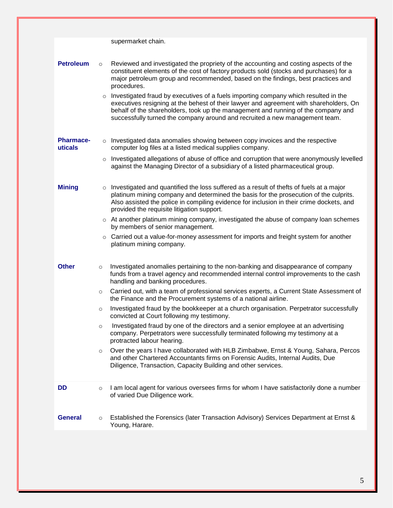|                             |                    | supermarket chain.                                                                                                                                                                                                                                                                                                                                                                                                                                                                                                                                                                                                                     |
|-----------------------------|--------------------|----------------------------------------------------------------------------------------------------------------------------------------------------------------------------------------------------------------------------------------------------------------------------------------------------------------------------------------------------------------------------------------------------------------------------------------------------------------------------------------------------------------------------------------------------------------------------------------------------------------------------------------|
| <b>Petroleum</b>            | $\circ$<br>$\circ$ | Reviewed and investigated the propriety of the accounting and costing aspects of the<br>constituent elements of the cost of factory products sold (stocks and purchases) for a<br>major petroleum group and recommended, based on the findings, best practices and<br>procedures.<br>Investigated fraud by executives of a fuels importing company which resulted in the<br>executives resigning at the behest of their lawyer and agreement with shareholders, On<br>behalf of the shareholders, took up the management and running of the company and<br>successfully turned the company around and recruited a new management team. |
| <b>Pharmace-</b><br>uticals |                    | o Investigated data anomalies showing between copy invoices and the respective<br>computer log files at a listed medical supplies company.                                                                                                                                                                                                                                                                                                                                                                                                                                                                                             |
|                             | $\circ$            | Investigated allegations of abuse of office and corruption that were anonymously levelled<br>against the Managing Director of a subsidiary of a listed pharmaceutical group.                                                                                                                                                                                                                                                                                                                                                                                                                                                           |
| <b>Mining</b>               | $\circ$            | Investigated and quantified the loss suffered as a result of thefts of fuels at a major<br>platinum mining company and determined the basis for the prosecution of the culprits.<br>Also assisted the police in compiling evidence for inclusion in their crime dockets, and<br>provided the requisite litigation support.                                                                                                                                                                                                                                                                                                             |
|                             |                    | $\circ$ At another platinum mining company, investigated the abuse of company loan schemes<br>by members of senior management.                                                                                                                                                                                                                                                                                                                                                                                                                                                                                                         |
|                             |                    | $\circ$ Carried out a value-for-money assessment for imports and freight system for another<br>platinum mining company.                                                                                                                                                                                                                                                                                                                                                                                                                                                                                                                |
| <b>Other</b>                | $\circ$            | Investigated anomalies pertaining to the non-banking and disappearance of company<br>funds from a travel agency and recommended internal control improvements to the cash<br>handling and banking procedures.                                                                                                                                                                                                                                                                                                                                                                                                                          |
|                             | $\circ$            | Carried out, with a team of professional services experts, a Current State Assessment of<br>the Finance and the Procurement systems of a national airline.                                                                                                                                                                                                                                                                                                                                                                                                                                                                             |
|                             | $\circ$            | Investigated fraud by the bookkeeper at a church organisation. Perpetrator successfully<br>convicted at Court following my testimony.                                                                                                                                                                                                                                                                                                                                                                                                                                                                                                  |
|                             | $\circ$            | Investigated fraud by one of the directors and a senior employee at an advertising<br>company. Perpetrators were successfully terminated following my testimony at a<br>protracted labour hearing.                                                                                                                                                                                                                                                                                                                                                                                                                                     |
|                             | $\circ$            | Over the years I have collaborated with HLB Zimbabwe, Ernst & Young, Sahara, Percos<br>and other Chartered Accountants firms on Forensic Audits, Internal Audits, Due<br>Diligence, Transaction, Capacity Building and other services.                                                                                                                                                                                                                                                                                                                                                                                                 |
| <b>DD</b>                   | $\circ$            | I am local agent for various oversees firms for whom I have satisfactorily done a number<br>of varied Due Diligence work.                                                                                                                                                                                                                                                                                                                                                                                                                                                                                                              |
| <b>General</b>              | $\circ$            | Established the Forensics (later Transaction Advisory) Services Department at Ernst &<br>Young, Harare.                                                                                                                                                                                                                                                                                                                                                                                                                                                                                                                                |
|                             |                    |                                                                                                                                                                                                                                                                                                                                                                                                                                                                                                                                                                                                                                        |